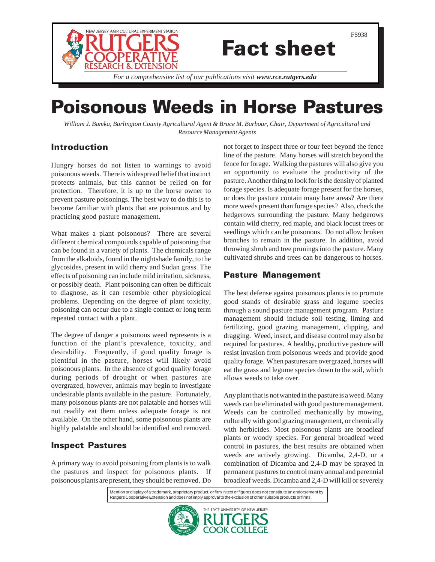

# Fact sheet

*For a comprehensive list of our publications visit www.rce.rutgers.edu*

## Poisonous Weeds in Horse Pastures

*William J. Bamka, Burlington County Agricultural Agent & Bruce M. Barbour, Chair*, *Department of Agricultural and Resource Management Agents*

## Introduction

Hungry horses do not listen to warnings to avoid poisonous weeds. There is widespread belief that instinct protects animals, but this cannot be relied on for protection. Therefore, it is up to the horse owner to prevent pasture poisonings. The best way to do this is to become familiar with plants that are poisonous and by practicing good pasture management.

What makes a plant poisonous? There are several different chemical compounds capable of poisoning that can be found in a variety of plants. The chemicals range from the alkaloids, found in the nightshade family, to the glycosides, present in wild cherry and Sudan grass. The effects of poisoning can include mild irritation, sickness, or possibly death. Plant poisoning can often be difficult to diagnose, as it can resemble other physiological problems. Depending on the degree of plant toxicity, poisoning can occur due to a single contact or long term repeated contact with a plant.

The degree of danger a poisonous weed represents is a function of the plant's prevalence, toxicity, and desirability. Frequently, if good quality forage is plentiful in the pasture, horses will likely avoid poisonous plants. In the absence of good quality forage during periods of drought or when pastures are overgrazed, however, animals may begin to investigate undesirable plants available in the pasture. Fortunately, many poisonous plants are not palatable and horses will not readily eat them unless adequate forage is not available. On the other hand, some poisonous plants are highly palatable and should be identified and removed.

## Inspect Pastures

A primary way to avoid poisoning from plants is to walk the pastures and inspect for poisonous plants. If poisonous plants are present, they should be removed. Do

not forget to inspect three or four feet beyond the fence line of the pasture. Many horses will stretch beyond the fence for forage. Walking the pastures will also give you an opportunity to evaluate the productivity of the pasture. Another thing to look for is the density of planted forage species. Is adequate forage present for the horses, or does the pasture contain many bare areas? Are there more weeds present than forage species? Also, check the hedgerows surrounding the pasture. Many hedgerows contain wild cherry, red maple, and black locust trees or seedlings which can be poisonous. Do not allow broken branches to remain in the pasture. In addition, avoid throwing shrub and tree prunings into the pasture. Many cultivated shrubs and trees can be dangerous to horses.

## Pasture Management

The best defense against poisonous plants is to promote good stands of desirable grass and legume species through a sound pasture management program. Pasture management should include soil testing, liming and fertilizing, good grazing management, clipping, and dragging. Weed, insect, and disease control may also be required for pastures. A healthy, productive pasture will resist invasion from poisonous weeds and provide good quality forage. When pastures are overgrazed, horses will eat the grass and legume species down to the soil, which allows weeds to take over.

Any plant that is not wanted in the pasture is a weed. Many weeds can be eliminated with good pasture management. Weeds can be controlled mechanically by mowing, culturally with good grazing management, or chemically with herbicides. Most poisonous plants are broadleaf plants or woody species. For general broadleaf weed control in pastures, the best results are obtained when weeds are actively growing. Dicamba, 2,4-D, or a combination of Dicamba and 2,4-D may be sprayed in permanent pastures to control many annual and perennial broadleaf weeds. Dicamba and 2,4-D will kill or severely

Mention or display of a trademark, proprietary product, or firm in text or figures does not constitute an endorsement by Rutgers Cooperative Extension and does not imply approval to the exclusion of other suitable products or firms.